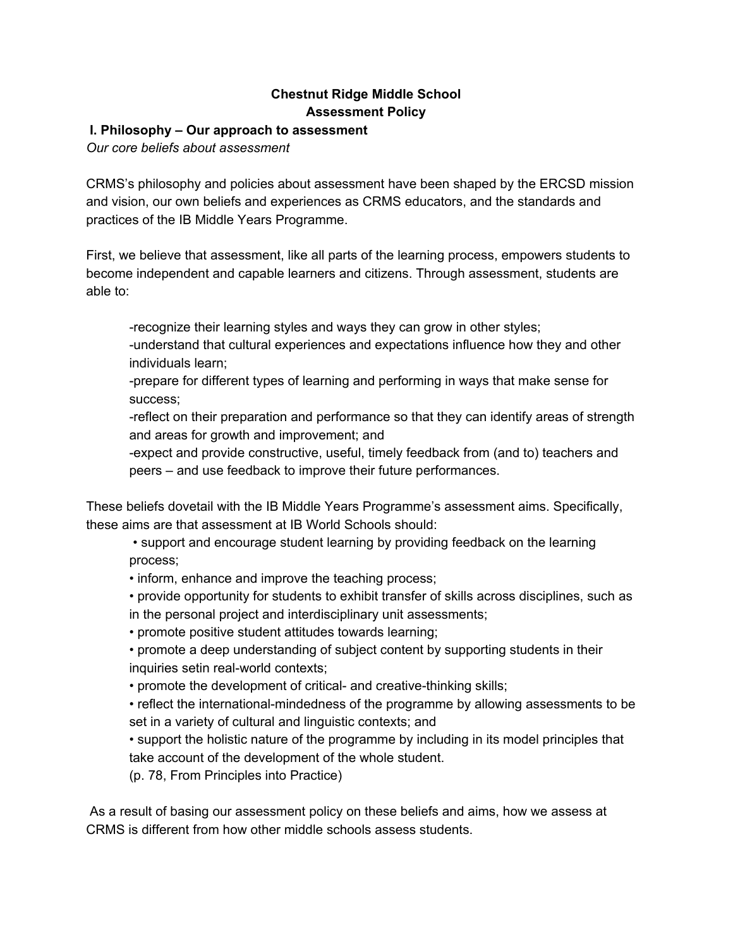# **Chestnut Ridge Middle School Assessment Policy**

## **I. Philosophy – Our approach to assessment**

*Our core beliefs about assessment*

CRMS's philosophy and policies about assessment have been shaped by the ERCSD mission and vision, our own beliefs and experiences as CRMS educators, and the standards and practices of the IB Middle Years Programme.

First, we believe that assessment, like all parts of the learning process, empowers students to become independent and capable learners and citizens. Through assessment, students are able to:

-recognize their learning styles and ways they can grow in other styles;

-understand that cultural experiences and expectations influence how they and other individuals learn;

-prepare for different types of learning and performing in ways that make sense for success;

-reflect on their preparation and performance so that they can identify areas of strength and areas for growth and improvement; and

-expect and provide constructive, useful, timely feedback from (and to) teachers and peers – and use feedback to improve their future performances.

These beliefs dovetail with the IB Middle Years Programme's assessment aims. Specifically, these aims are that assessment at IB World Schools should:

• support and encourage student learning by providing feedback on the learning process;

• inform, enhance and improve the teaching process;

• provide opportunity for students to exhibit transfer of skills across disciplines, such as in the personal project and interdisciplinary unit assessments;

• promote positive student attitudes towards learning;

• promote a deep understanding of subject content by supporting students in their inquiries setin real-world contexts;

• promote the development of critical- and creative-thinking skills;

• reflect the international-mindedness of the programme by allowing assessments to be set in a variety of cultural and linguistic contexts; and

• support the holistic nature of the programme by including in its model principles that take account of the development of the whole student.

(p. 78, From Principles into Practice)

As a result of basing our assessment policy on these beliefs and aims, how we assess at CRMS is different from how other middle schools assess students.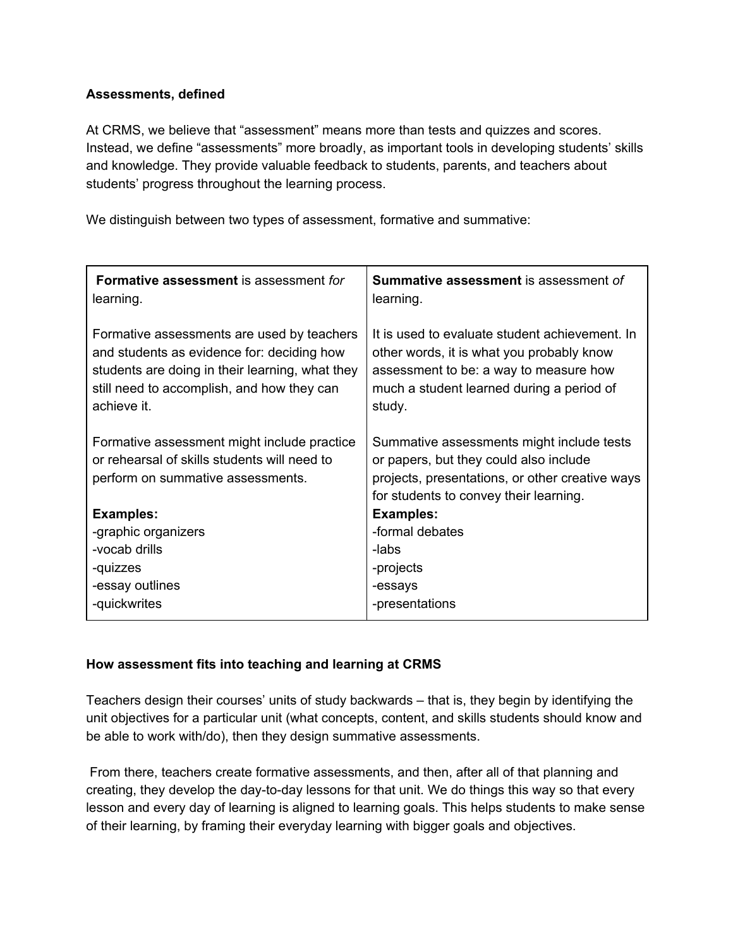#### **Assessments, defined**

At CRMS, we believe that "assessment" means more than tests and quizzes and scores. Instead, we define "assessments" more broadly, as important tools in developing students' skills and knowledge. They provide valuable feedback to students, parents, and teachers about students' progress throughout the learning process.

We distinguish between two types of assessment, formative and summative:

| Formative assessment is assessment for<br>learning.                                                                                                                                                      | <b>Summative assessment</b> is assessment of<br>learning.                                                                                                                                    |
|----------------------------------------------------------------------------------------------------------------------------------------------------------------------------------------------------------|----------------------------------------------------------------------------------------------------------------------------------------------------------------------------------------------|
| Formative assessments are used by teachers<br>and students as evidence for: deciding how<br>students are doing in their learning, what they<br>still need to accomplish, and how they can<br>achieve it. | It is used to evaluate student achievement. In<br>other words, it is what you probably know<br>assessment to be: a way to measure how<br>much a student learned during a period of<br>study. |
| Formative assessment might include practice<br>or rehearsal of skills students will need to<br>perform on summative assessments.                                                                         | Summative assessments might include tests<br>or papers, but they could also include<br>projects, presentations, or other creative ways<br>for students to convey their learning.             |
| <b>Examples:</b>                                                                                                                                                                                         | <b>Examples:</b>                                                                                                                                                                             |
| -graphic organizers                                                                                                                                                                                      | -formal debates                                                                                                                                                                              |
| -vocab drills                                                                                                                                                                                            | -labs                                                                                                                                                                                        |
| -quizzes                                                                                                                                                                                                 | -projects                                                                                                                                                                                    |
| -essay outlines                                                                                                                                                                                          | -essays                                                                                                                                                                                      |
| -quickwrites                                                                                                                                                                                             | -presentations                                                                                                                                                                               |

## **How assessment fits into teaching and learning at CRMS**

Teachers design their courses' units of study backwards – that is, they begin by identifying the unit objectives for a particular unit (what concepts, content, and skills students should know and be able to work with/do), then they design summative assessments.

From there, teachers create formative assessments, and then, after all of that planning and creating, they develop the day-to-day lessons for that unit. We do things this way so that every lesson and every day of learning is aligned to learning goals. This helps students to make sense of their learning, by framing their everyday learning with bigger goals and objectives.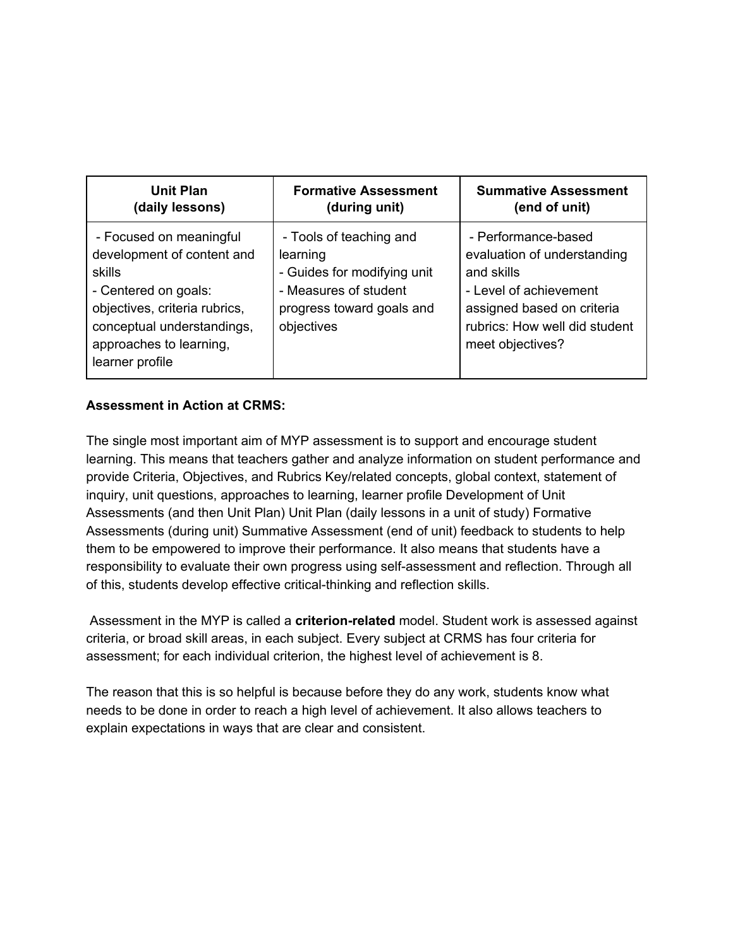| <b>Unit Plan</b>                                                                                                                                                                                     | <b>Formative Assessment</b>                                                                                                            | <b>Summative Assessment</b>                                                                                                                                                   |
|------------------------------------------------------------------------------------------------------------------------------------------------------------------------------------------------------|----------------------------------------------------------------------------------------------------------------------------------------|-------------------------------------------------------------------------------------------------------------------------------------------------------------------------------|
| (daily lessons)                                                                                                                                                                                      | (during unit)                                                                                                                          | (end of unit)                                                                                                                                                                 |
| - Focused on meaningful<br>development of content and<br>skills<br>- Centered on goals:<br>objectives, criteria rubrics,<br>conceptual understandings,<br>approaches to learning,<br>learner profile | - Tools of teaching and<br>learning<br>- Guides for modifying unit<br>- Measures of student<br>progress toward goals and<br>objectives | - Performance-based<br>evaluation of understanding<br>and skills<br>- Level of achievement<br>assigned based on criteria<br>rubrics: How well did student<br>meet objectives? |

# **Assessment in Action at CRMS:**

The single most important aim of MYP assessment is to support and encourage student learning. This means that teachers gather and analyze information on student performance and provide Criteria, Objectives, and Rubrics Key/related concepts, global context, statement of inquiry, unit questions, approaches to learning, learner profile Development of Unit Assessments (and then Unit Plan) Unit Plan (daily lessons in a unit of study) Formative Assessments (during unit) Summative Assessment (end of unit) feedback to students to help them to be empowered to improve their performance. It also means that students have a responsibility to evaluate their own progress using self-assessment and reflection. Through all of this, students develop effective critical-thinking and reflection skills.

Assessment in the MYP is called a **criterion-related** model. Student work is assessed against criteria, or broad skill areas, in each subject. Every subject at CRMS has four criteria for assessment; for each individual criterion, the highest level of achievement is 8.

The reason that this is so helpful is because before they do any work, students know what needs to be done in order to reach a high level of achievement. It also allows teachers to explain expectations in ways that are clear and consistent.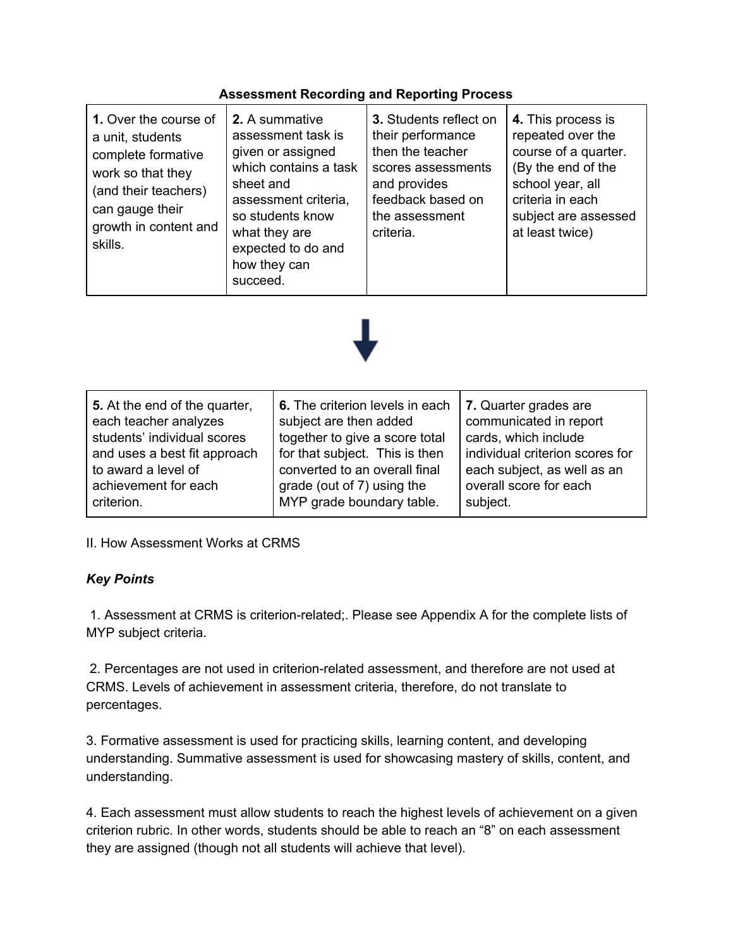## **Assessment Recording and Reporting Process**



| 5. At the end of the quarter, | 6. The criterion levels in each | 7. Quarter grades are           |
|-------------------------------|---------------------------------|---------------------------------|
| each teacher analyzes         | subject are then added          | communicated in report          |
| students' individual scores   | together to give a score total  | cards, which include            |
| and uses a best fit approach  | for that subject. This is then  | individual criterion scores for |
| to award a level of           | converted to an overall final   | each subject, as well as an     |
| achievement for each          | grade (out of 7) using the      | overall score for each          |
| criterion.                    | MYP grade boundary table.       | subject.                        |

II. How Assessment Works at CRMS

## *Key Points*

1. Assessment at CRMS is criterion-related;. Please see Appendix A for the complete lists of MYP subject criteria.

2. Percentages are not used in criterion-related assessment, and therefore are not used at CRMS. Levels of achievement in assessment criteria, therefore, do not translate to percentages.

3. Formative assessment is used for practicing skills, learning content, and developing understanding. Summative assessment is used for showcasing mastery of skills, content, and understanding.

4. Each assessment must allow students to reach the highest levels of achievement on a given criterion rubric. In other words, students should be able to reach an "8" on each assessment they are assigned (though not all students will achieve that level).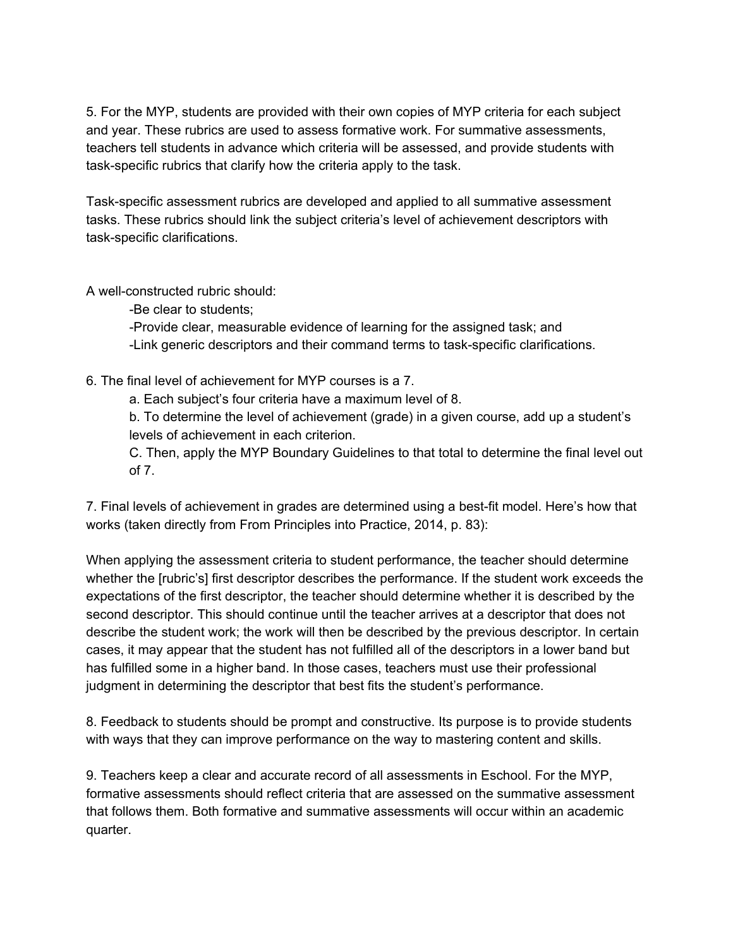5. For the MYP, students are provided with their own copies of MYP criteria for each subject and year. These rubrics are used to assess formative work. For summative assessments, teachers tell students in advance which criteria will be assessed, and provide students with task-specific rubrics that clarify how the criteria apply to the task.

Task-specific assessment rubrics are developed and applied to all summative assessment tasks. These rubrics should link the subject criteria's level of achievement descriptors with task-specific clarifications.

A well-constructed rubric should:

-Be clear to students;

-Provide clear, measurable evidence of learning for the assigned task; and -Link generic descriptors and their command terms to task-specific clarifications.

6. The final level of achievement for MYP courses is a 7.

a. Each subject's four criteria have a maximum level of 8.

b. To determine the level of achievement (grade) in a given course, add up a student's levels of achievement in each criterion.

C. Then, apply the MYP Boundary Guidelines to that total to determine the final level out of 7.

7. Final levels of achievement in grades are determined using a best-fit model. Here's how that works (taken directly from From Principles into Practice, 2014, p. 83):

When applying the assessment criteria to student performance, the teacher should determine whether the [rubric's] first descriptor describes the performance. If the student work exceeds the expectations of the first descriptor, the teacher should determine whether it is described by the second descriptor. This should continue until the teacher arrives at a descriptor that does not describe the student work; the work will then be described by the previous descriptor. In certain cases, it may appear that the student has not fulfilled all of the descriptors in a lower band but has fulfilled some in a higher band. In those cases, teachers must use their professional judgment in determining the descriptor that best fits the student's performance.

8. Feedback to students should be prompt and constructive. Its purpose is to provide students with ways that they can improve performance on the way to mastering content and skills.

9. Teachers keep a clear and accurate record of all assessments in Eschool. For the MYP, formative assessments should reflect criteria that are assessed on the summative assessment that follows them. Both formative and summative assessments will occur within an academic quarter.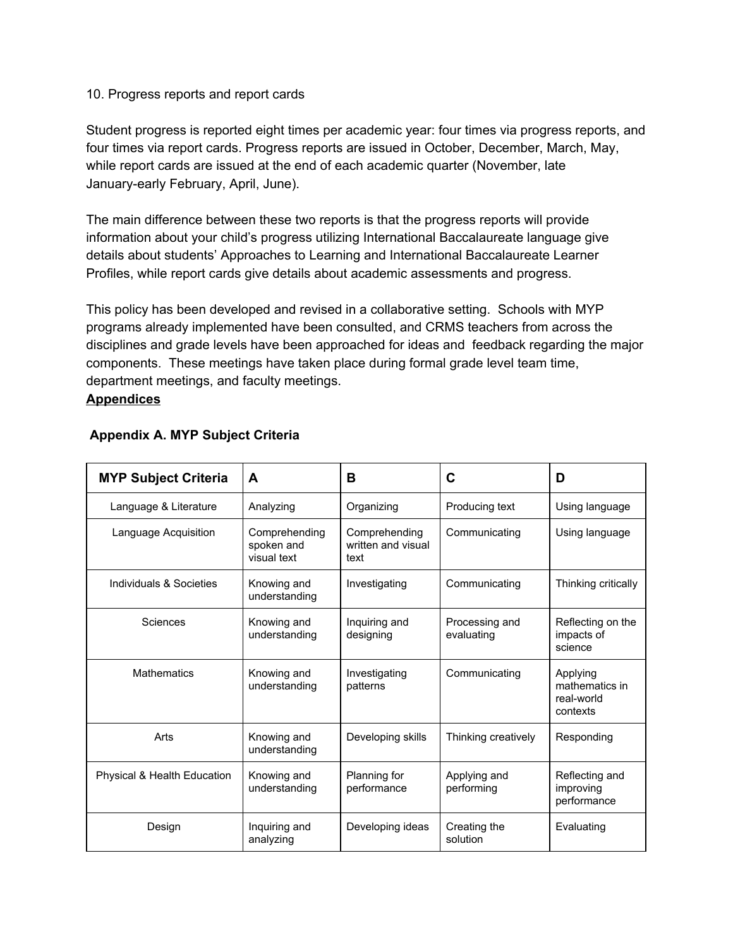#### 10. Progress reports and report cards

Student progress is reported eight times per academic year: four times via progress reports, and four times via report cards. Progress reports are issued in October, December, March, May, while report cards are issued at the end of each academic quarter (November, late January-early February, April, June).

The main difference between these two reports is that the progress reports will provide information about your child's progress utilizing International Baccalaureate language give details about students' Approaches to Learning and International Baccalaureate Learner Profiles, while report cards give details about academic assessments and progress.

This policy has been developed and revised in a collaborative setting. Schools with MYP programs already implemented have been consulted, and CRMS teachers from across the disciplines and grade levels have been approached for ideas and feedback regarding the major components. These meetings have taken place during formal grade level team time, department meetings, and faculty meetings. **Appendices**

| <b>MYP Subject Criteria</b> | A                                          | B                                           | С                            | D                                                    |
|-----------------------------|--------------------------------------------|---------------------------------------------|------------------------------|------------------------------------------------------|
| Language & Literature       | Analyzing                                  | Organizing                                  | Producing text               | Using language                                       |
| Language Acquisition        | Comprehending<br>spoken and<br>visual text | Comprehending<br>written and visual<br>text | Communicating                | Using language                                       |
| Individuals & Societies     | Knowing and<br>understanding               | Investigating                               | Communicating                | Thinking critically                                  |
| Sciences                    | Knowing and<br>understanding               | Inquiring and<br>designing                  | Processing and<br>evaluating | Reflecting on the<br>impacts of<br>science           |
| <b>Mathematics</b>          | Knowing and<br>understanding               | Investigating<br>patterns                   | Communicating                | Applying<br>mathematics in<br>real-world<br>contexts |
| Arts                        | Knowing and<br>understanding               | Developing skills                           | Thinking creatively          | Responding                                           |
| Physical & Health Education | Knowing and<br>understanding               | Planning for<br>performance                 | Applying and<br>performing   | Reflecting and<br>improving<br>performance           |
| Design                      | Inquiring and<br>analyzing                 | Developing ideas                            | Creating the<br>solution     | Evaluating                                           |

## **Appendix A. MYP Subject Criteria**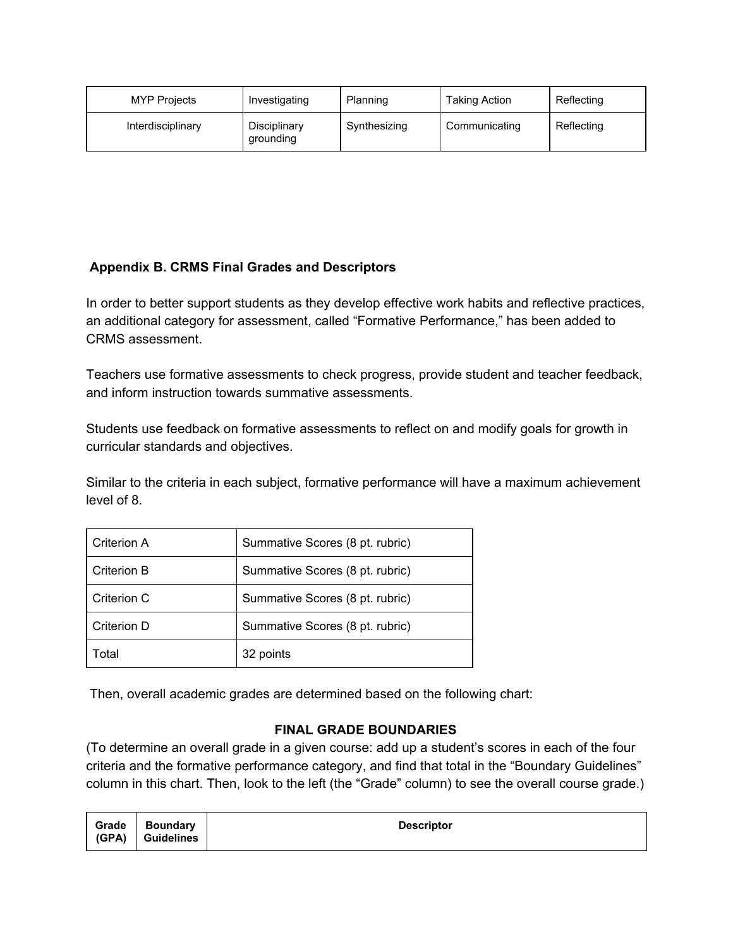| <b>MYP Projects</b> | Investigating             | Planning     | <b>Taking Action</b> | Reflecting |
|---------------------|---------------------------|--------------|----------------------|------------|
| Interdisciplinary   | Disciplinary<br>grounding | Synthesizing | Communicating        | Reflecting |

# **Appendix B. CRMS Final Grades and Descriptors**

In order to better support students as they develop effective work habits and reflective practices, an additional category for assessment, called "Formative Performance," has been added to CRMS assessment.

Teachers use formative assessments to check progress, provide student and teacher feedback, and inform instruction towards summative assessments.

Students use feedback on formative assessments to reflect on and modify goals for growth in curricular standards and objectives.

Similar to the criteria in each subject, formative performance will have a maximum achievement level of 8.

| Criterion A | Summative Scores (8 pt. rubric) |
|-------------|---------------------------------|
| Criterion B | Summative Scores (8 pt. rubric) |
| Criterion C | Summative Scores (8 pt. rubric) |
| Criterion D | Summative Scores (8 pt. rubric) |
| Total       | 32 points                       |

Then, overall academic grades are determined based on the following chart:

## **FINAL GRADE BOUNDARIES**

(To determine an overall grade in a given course: add up a student's scores in each of the four criteria and the formative performance category, and find that total in the "Boundary Guidelines" column in this chart. Then, look to the left (the "Grade" column) to see the overall course grade.)

| (GPA) | Grade   Boundary<br>  Guidelines | <b>Descriptor</b> |
|-------|----------------------------------|-------------------|
|       |                                  |                   |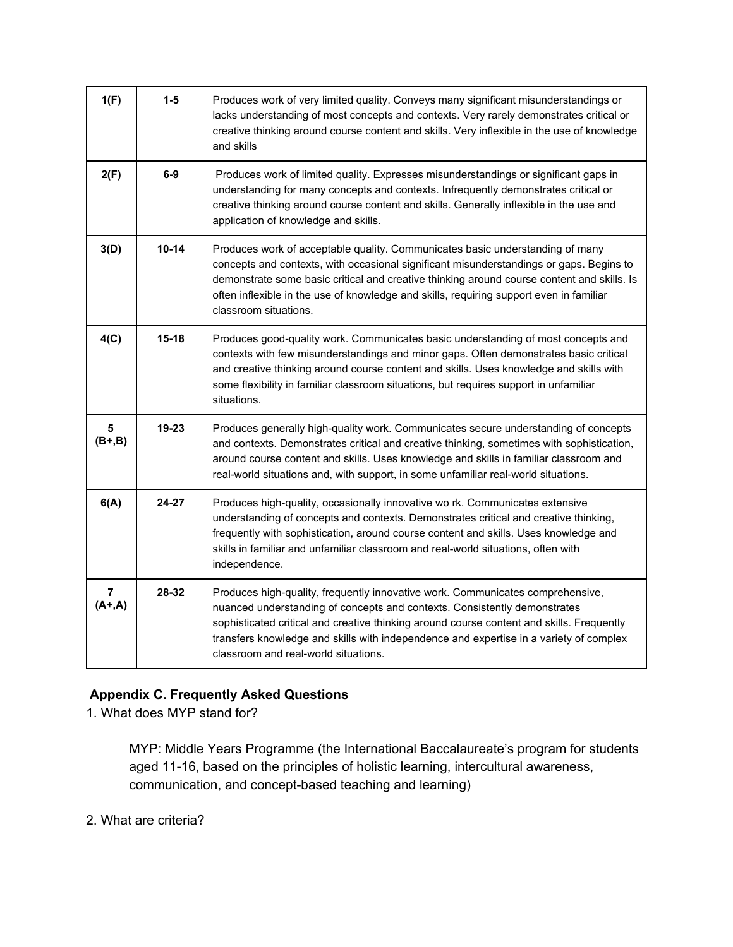| 1(F)                                 | $1-5$     | Produces work of very limited quality. Conveys many significant misunderstandings or<br>lacks understanding of most concepts and contexts. Very rarely demonstrates critical or<br>creative thinking around course content and skills. Very inflexible in the use of knowledge<br>and skills                                                                                               |
|--------------------------------------|-----------|--------------------------------------------------------------------------------------------------------------------------------------------------------------------------------------------------------------------------------------------------------------------------------------------------------------------------------------------------------------------------------------------|
| 2(F)                                 | $6-9$     | Produces work of limited quality. Expresses misunderstandings or significant gaps in<br>understanding for many concepts and contexts. Infrequently demonstrates critical or<br>creative thinking around course content and skills. Generally inflexible in the use and<br>application of knowledge and skills.                                                                             |
| 3(D)                                 | $10 - 14$ | Produces work of acceptable quality. Communicates basic understanding of many<br>concepts and contexts, with occasional significant misunderstandings or gaps. Begins to<br>demonstrate some basic critical and creative thinking around course content and skills. Is<br>often inflexible in the use of knowledge and skills, requiring support even in familiar<br>classroom situations. |
| 4(C)                                 | $15 - 18$ | Produces good-quality work. Communicates basic understanding of most concepts and<br>contexts with few misunderstandings and minor gaps. Often demonstrates basic critical<br>and creative thinking around course content and skills. Uses knowledge and skills with<br>some flexibility in familiar classroom situations, but requires support in unfamiliar<br>situations.               |
| $\overline{\mathbf{5}}$<br>$(B+, B)$ | 19-23     | Produces generally high-quality work. Communicates secure understanding of concepts<br>and contexts. Demonstrates critical and creative thinking, sometimes with sophistication,<br>around course content and skills. Uses knowledge and skills in familiar classroom and<br>real-world situations and, with support, in some unfamiliar real-world situations.                            |
| 6(A)                                 | 24-27     | Produces high-quality, occasionally innovative wo rk. Communicates extensive<br>understanding of concepts and contexts. Demonstrates critical and creative thinking,<br>frequently with sophistication, around course content and skills. Uses knowledge and<br>skills in familiar and unfamiliar classroom and real-world situations, often with<br>independence.                         |
| $\overline{7}$<br>$(A+,A)$           | 28-32     | Produces high-quality, frequently innovative work. Communicates comprehensive,<br>nuanced understanding of concepts and contexts. Consistently demonstrates<br>sophisticated critical and creative thinking around course content and skills. Frequently<br>transfers knowledge and skills with independence and expertise in a variety of complex<br>classroom and real-world situations. |

# **Appendix C. Frequently Asked Questions**

1. What does MYP stand for?

MYP: Middle Years Programme (the International Baccalaureate's program for students aged 11-16, based on the principles of holistic learning, intercultural awareness, communication, and concept-based teaching and learning)

2. What are criteria?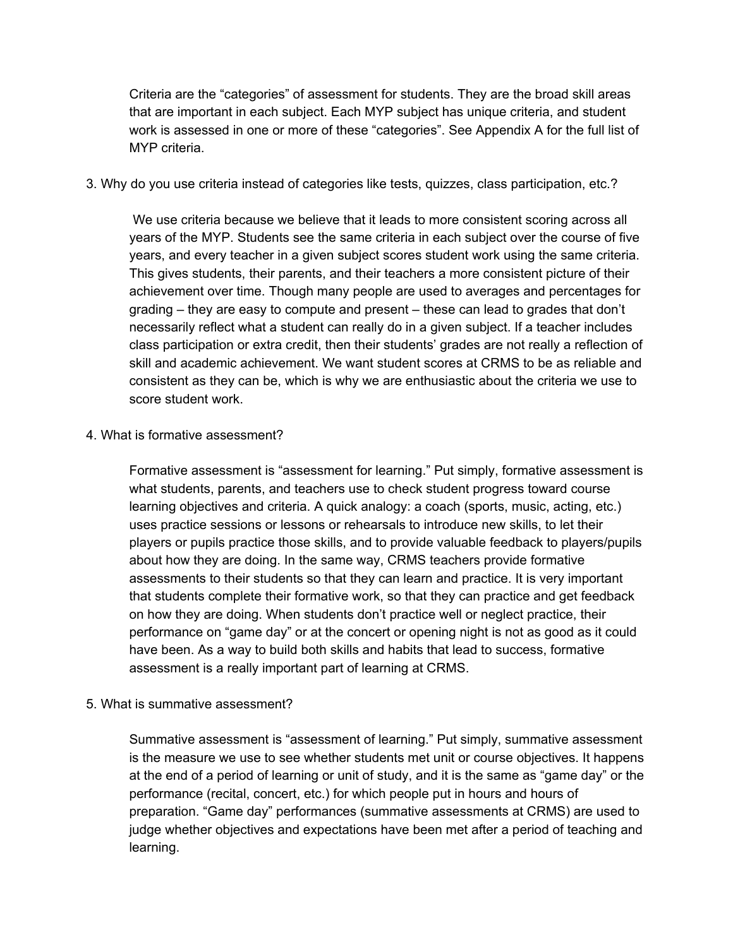Criteria are the "categories" of assessment for students. They are the broad skill areas that are important in each subject. Each MYP subject has unique criteria, and student work is assessed in one or more of these "categories". See Appendix A for the full list of MYP criteria.

3. Why do you use criteria instead of categories like tests, quizzes, class participation, etc.?

We use criteria because we believe that it leads to more consistent scoring across all years of the MYP. Students see the same criteria in each subject over the course of five years, and every teacher in a given subject scores student work using the same criteria. This gives students, their parents, and their teachers a more consistent picture of their achievement over time. Though many people are used to averages and percentages for grading – they are easy to compute and present – these can lead to grades that don't necessarily reflect what a student can really do in a given subject. If a teacher includes class participation or extra credit, then their students' grades are not really a reflection of skill and academic achievement. We want student scores at CRMS to be as reliable and consistent as they can be, which is why we are enthusiastic about the criteria we use to score student work.

4. What is formative assessment?

Formative assessment is "assessment for learning." Put simply, formative assessment is what students, parents, and teachers use to check student progress toward course learning objectives and criteria. A quick analogy: a coach (sports, music, acting, etc.) uses practice sessions or lessons or rehearsals to introduce new skills, to let their players or pupils practice those skills, and to provide valuable feedback to players/pupils about how they are doing. In the same way, CRMS teachers provide formative assessments to their students so that they can learn and practice. It is very important that students complete their formative work, so that they can practice and get feedback on how they are doing. When students don't practice well or neglect practice, their performance on "game day" or at the concert or opening night is not as good as it could have been. As a way to build both skills and habits that lead to success, formative assessment is a really important part of learning at CRMS.

5. What is summative assessment?

Summative assessment is "assessment of learning." Put simply, summative assessment is the measure we use to see whether students met unit or course objectives. It happens at the end of a period of learning or unit of study, and it is the same as "game day" or the performance (recital, concert, etc.) for which people put in hours and hours of preparation. "Game day" performances (summative assessments at CRMS) are used to judge whether objectives and expectations have been met after a period of teaching and learning.